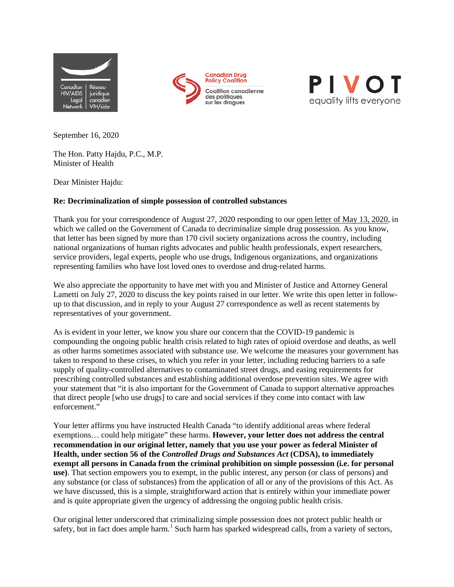





September 16, 2020

The Hon. Patty Hajdu, P.C., M.P. Minister of Health

Dear Minister Hajdu:

## **Re: Decriminalization of simple possession of controlled substances**

Thank you for your correspondence of August 27, 2020 responding to our [open letter of May 13, 2020,](http://www.aidslaw.ca/site/letter-to-canadian-government-decriminalize-simple-drug-possession-immediately/?lang=en) in which we called on the Government of Canada to decriminalize simple drug possession. As you know, that letter has been signed by more than 170 civil society organizations across the country, including national organizations of human rights advocates and public health professionals, expert researchers, service providers, legal experts, people who use drugs, Indigenous organizations, and organizations representing families who have lost loved ones to overdose and drug-related harms.

We also appreciate the opportunity to have met with you and Minister of Justice and Attorney General Lametti on July 27, 2020 to discuss the key points raised in our letter. We write this open letter in followup to that discussion, and in reply to your August 27 correspondence as well as recent statements by representatives of your government.

As is evident in your letter, we know you share our concern that the COVID-19 pandemic is compounding the ongoing public health crisis related to high rates of opioid overdose and deaths, as well as other harms sometimes associated with substance use. We welcome the measures your government has taken to respond to these crises, to which you refer in your letter, including reducing barriers to a safe supply of quality-controlled alternatives to contaminated street drugs, and easing requirements for prescribing controlled substances and establishing additional overdose prevention sites. We agree with your statement that "it is also important for the Government of Canada to support alternative approaches that direct people [who use drugs] to care and social services if they come into contact with law enforcement."

Your letter affirms you have instructed Health Canada "to identify additional areas where federal exemptions… could help mitigate" these harms. **However, your letter does not address the central recommendation in our original letter, namely that you use your power as federal Minister of Health, under section 56 of the** *Controlled Drugs and Substances Act* **(CDSA), to immediately exempt all persons in Canada from the criminal prohibition on simple possession (i.e. for personal use)**. That section empowers you to exempt, in the public interest, any person (or class of persons) and any substance (or class of substances) from the application of all or any of the provisions of this Act. As we have discussed, this is a simple, straightforward action that is entirely within your immediate power and is quite appropriate given the urgency of addressing the ongoing public health crisis.

Our original letter underscored that criminalizing simple possession does not protect public health or safety, but in fact does ample harm.<sup>[1](#page-2-0)</sup> Such harm has sparked widespread calls, from a variety of sectors,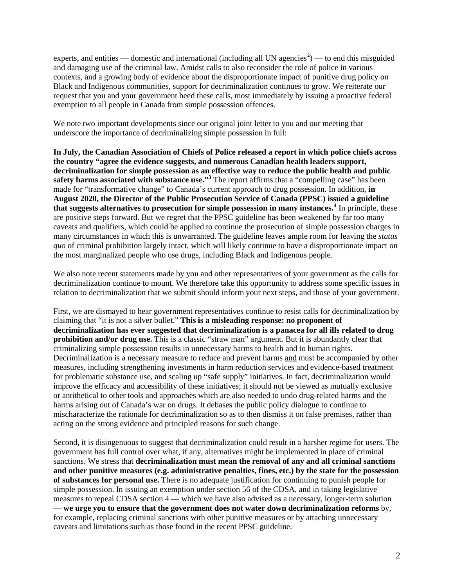experts, and entities — domestic and international (including all UN agencies<sup>[2](#page-2-1)</sup>) — to end this misguided and damaging use of the criminal law. Amidst calls to also reconsider the role of police in various contexts, and a growing body of evidence about the disproportionate impact of punitive drug policy on Black and Indigenous communities, support for decriminalization continues to grow. We reiterate our request that you and your government heed these calls, most immediately by issuing a proactive federal exemption to all people in Canada from simple possession offences.

We note two important developments since our original joint letter to you and our meeting that underscore the importance of decriminalizing simple possession in full:

**In July, the Canadian Association of Chiefs of Police released a report in which police chiefs across the country "agree the evidence suggests, and numerous Canadian health leaders support, decriminalization for simple possession as an effective way to reduce the public health and public**  safety harms associated with substance use."<sup>[3](#page-2-2)</sup> The report affirms that a "compelling case" has been made for "transformative change" to Canada's current approach to drug possession. In addition, **in August 2020, the Director of the Public Prosecution Service of Canada (PPSC) issued a guideline that suggests alternatives to prosecution for simple possession in many instances.[4](#page-2-3)** In principle, these are positive steps forward. But we regret that the PPSC guideline has been weakened by far too many caveats and qualifiers, which could be applied to continue the prosecution of simple possession charges in many circumstances in which this is unwarranted. The guideline leaves ample room for leaving the *status quo* of criminal prohibition largely intact, which will likely continue to have a disproportionate impact on the most marginalized people who use drugs, including Black and Indigenous people.

We also note recent statements made by you and other representatives of your government as the calls for decriminalization continue to mount. We therefore take this opportunity to address some specific issues in relation to decriminalization that we submit should inform your next steps, and those of your government.

First, we are dismayed to hear government representatives continue to resist calls for decriminalization by claiming that "it is not a silver bullet." **This is a misleading response: no proponent of decriminalization has ever suggested that decriminalization is a panacea for all ills related to drug prohibition and/or drug use.** This is a classic "straw man" argument. But it is abundantly clear that criminalizing simple possession results in unnecessary harms to health and to human rights. Decriminalization is a necessary measure to reduce and prevent harms and must be accompanied by other measures, including strengthening investments in harm reduction services and evidence-based treatment for problematic substance use, and scaling up "safe supply" initiatives. In fact, decriminalization would improve the efficacy and accessibility of these initiatives; it should not be viewed as mutually exclusive or antithetical to other tools and approaches which are also needed to undo drug-related harms and the harms arising out of Canada's war on drugs. It debases the public policy dialogue to continue to mischaracterize the rationale for decriminalization so as to then dismiss it on false premises, rather than acting on the strong evidence and principled reasons for such change.

Second, it is disingenuous to suggest that decriminalization could result in a harsher regime for users. The government has full control over what, if any, alternatives might be implemented in place of criminal sanctions. We stress that **decriminalization must mean the removal of any and all criminal sanctions and other punitive measures (e.g. administrative penalties, fines, etc.) by the state for the possession of substances for personal use.** There is no adequate justification for continuing to punish people for simple possession. In issuing an exemption under section 56 of the CDSA, and in taking legislative measures to repeal CDSA section 4 — which we have also advised as a necessary, longer-term solution — **we urge you to ensure that the government does not water down decriminalization reforms** by, for example, replacing criminal sanctions with other punitive measures or by attaching unnecessary caveats and limitations such as those found in the recent PPSC guideline.